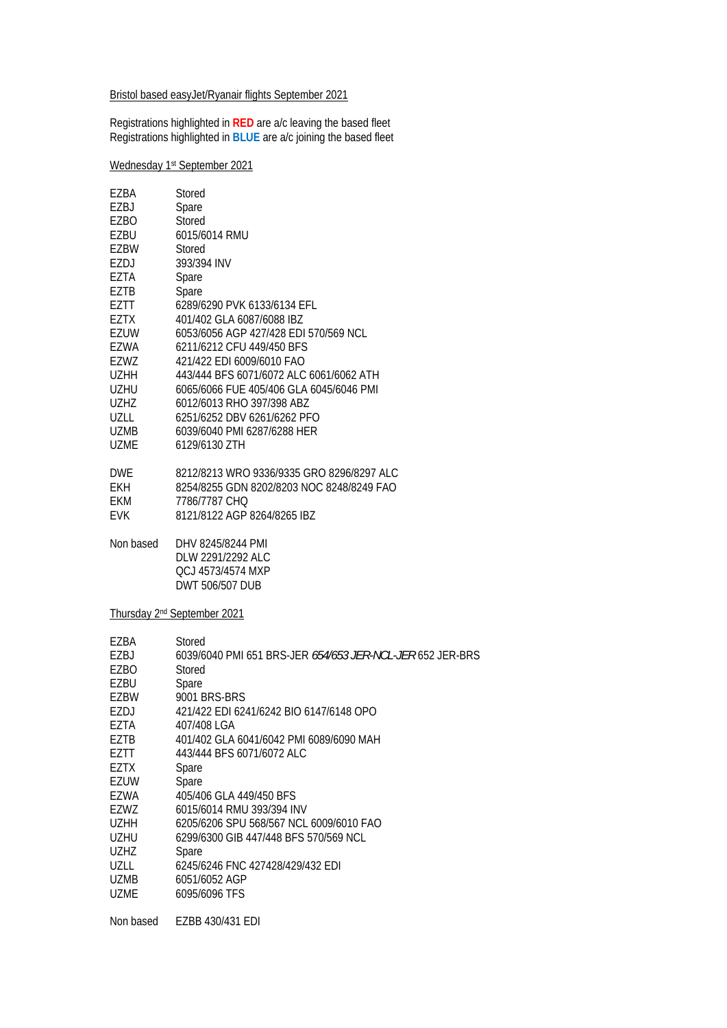Bristol based easyJet/Ryanair flights September 2021

Registrations highlighted in **RED** are a/c leaving the based fleet Registrations highlighted in **BLUE** are a/c joining the based fleet

## Wednesday 1st September 2021

| EZBA        | Stored                                    |
|-------------|-------------------------------------------|
| EZBJ        | Spare                                     |
| EZBO        | Stored                                    |
| EZBU        | 6015/6014 RMU                             |
| F7BW        | Stored                                    |
| EZDJ        | 393/394 INV                               |
| EZTA        | Spare                                     |
| EZTB        | Spare                                     |
| EZTT        | 6289/6290 PVK 6133/6134 EFL               |
| <b>EZTX</b> | 401/402 GLA 6087/6088 IBZ                 |
| EZUW        | 6053/6056 AGP 427/428 EDI 570/569 NCL     |
| EZWA        | 6211/6212 CFU 449/450 BFS                 |
| F7W7        | 421/422 FDI 6009/6010 FAO                 |
| <b>UZHH</b> | 443/444 BFS 6071/6072 ALC 6061/6062 ATH   |
| <b>UZHU</b> | 6065/6066 FUE 405/406 GLA 6045/6046 PMI   |
| <b>UZHZ</b> | 6012/6013 RHO 397/398 ABZ                 |
| U7LL        | 6251/6252 DBV 6261/6262 PFO               |
| UZMB        | 6039/6040 PMI 6287/6288 HER               |
| UZME        | 6129/6130 ZTH                             |
| <b>DWF</b>  | 8212/8213 WRO 9336/9335 GRO 8296/8297 ALC |
| <b>FKH</b>  | 8254/8255 GDN 8202/8203 NOC 8248/8249 FAO |
| <b>FKM</b>  | 7786/7787 CHQ                             |
| <b>EVK</b>  | 8121/8122 AGP 8264/8265 IBZ               |
| Non based   | DHV 8245/8244 PMI                         |
|             | DLW 2291/2292 ALC                         |

Thursday 2nd September 2021

 QCJ 4573/4574 MXP DWT 506/507 DUB

| EZBA        | Stored                                                           |
|-------------|------------------------------------------------------------------|
| EZBJ        | 6039/6040 PML 651 BRS-JER <i>654/653 JER-NCL-JER</i> 652 JER-BRS |
| EZBO        | Stored                                                           |
| EZBU        | Spare                                                            |
| EZBW        | 9001 BRS-BRS                                                     |
| F7DJ        | 421/422 EDI 6241/6242 BIO 6147/6148 OPO                          |
| EZTA        | 407/408 LGA                                                      |
| EZTB        | 401/402 GLA 6041/6042 PMI 6089/6090 MAH                          |
| FZTT        | 443/444 BFS 6071/6072 ALC                                        |
| <b>EZTX</b> | Spare                                                            |
| EZUW        | Spare                                                            |
| EZWA        | 405/406 GLA 449/450 BFS                                          |
| EZWZ        | 6015/6014 RMU 393/394 INV                                        |
| <b>UZHH</b> | 6205/6206 SPU 568/567 NCL 6009/6010 FAO                          |
| <b>UZHU</b> | 6299/6300 GIB 447/448 BFS 570/569 NCL                            |
| UZHZ        | Spare                                                            |
| UZLL        | 6245/6246 FNC 427428/429/432 EDI                                 |
| <b>UZMB</b> | 6051/6052 AGP                                                    |
| <b>UZME</b> | 6095/6096 TFS                                                    |
| Non based   | EZBB 430/431 EDI                                                 |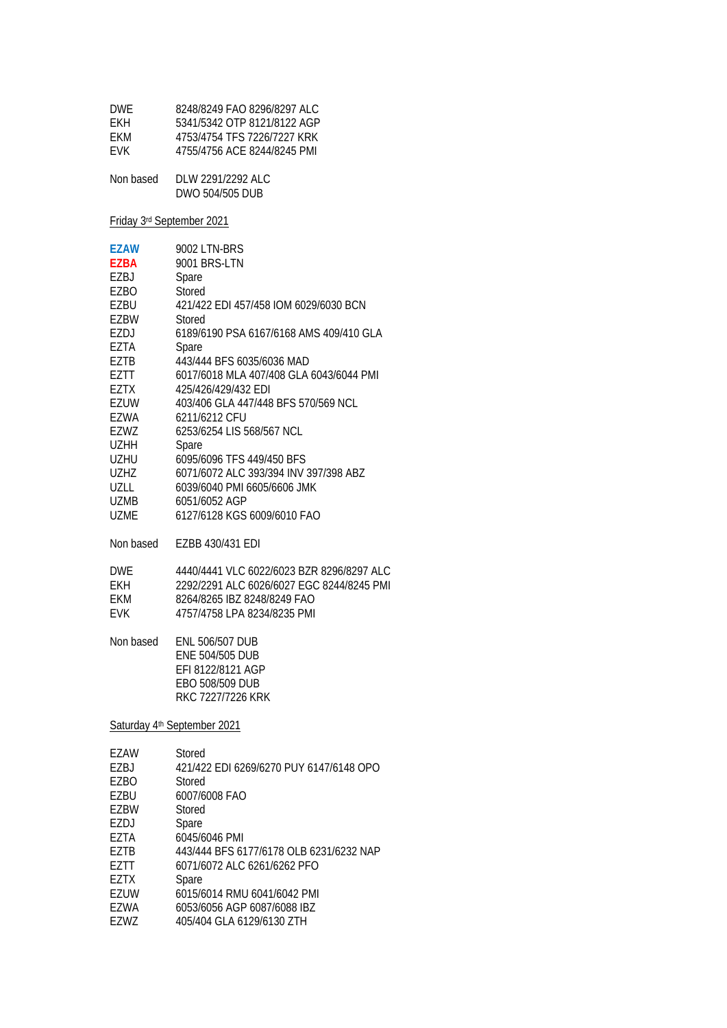| <b>DWF</b> | 8248/8249 FAO 8296/8297 ALC |
|------------|-----------------------------|
| FKH.       | 5341/5342 OTP 8121/8122 AGP |
| FKM.       | 4753/4754 TFS 7226/7227 KRK |
| <b>FVK</b> | 4755/4756 ACF 8244/8245 PMI |
|            |                             |
| Non based  | DLW 2291/2292 ALC           |

Friday 3rd September 2021

| <b>EZAW</b><br><b>EZBA</b><br>EZBJ<br>EZBO<br><b>EZBU</b><br><b>EZBW</b><br>EZDJ<br>EZTA<br><b>EZTB</b><br>EZTT<br><b>EZTX</b><br><b>EZUW</b><br><b>EZWA</b><br>EZWZ<br><b>UZHH</b><br><b>UZHU</b><br><b>UZHZ</b><br>UZLL<br><b>UZMB</b><br><b>UZME</b> | 9002 LTN-BRS<br>9001 BRS-LTN<br>Spare<br>Stored<br>421/422 EDI 457/458 IOM 6029/6030 BCN<br><b>Stored</b><br>6189/6190 PSA 6167/6168 AMS 409/410 GLA<br>Spare<br>443/444 BFS 6035/6036 MAD<br>6017/6018 MLA 407/408 GLA 6043/6044 PMI<br>425/426/429/432 EDI<br>403/406 GLA 447/448 BFS 570/569 NCL<br>6211/6212 CFU<br>6253/6254 LIS 568/567 NCL<br>Spare<br>6095/6096 TFS 449/450 BFS<br>6071/6072 ALC 393/394 INV 397/398 ABZ<br>6039/6040 PMI 6605/6606 JMK<br>6051/6052 AGP<br>6127/6128 KGS 6009/6010 FAO |
|---------------------------------------------------------------------------------------------------------------------------------------------------------------------------------------------------------------------------------------------------------|-----------------------------------------------------------------------------------------------------------------------------------------------------------------------------------------------------------------------------------------------------------------------------------------------------------------------------------------------------------------------------------------------------------------------------------------------------------------------------------------------------------------|
| Non based                                                                                                                                                                                                                                               | EZBB 430/431 EDI                                                                                                                                                                                                                                                                                                                                                                                                                                                                                                |
| <b>DWF</b><br><b>EKH</b><br><b>FKM</b><br><b>EVK</b><br>Non based                                                                                                                                                                                       | 4440/4441 VLC 6022/6023 BZR 8296/8297 ALC<br>2292/2291 ALC 6026/6027 EGC 8244/8245 PMI<br>8264/8265 IBZ 8248/8249 FAO<br>4757/4758 LPA 8234/8235 PMI<br><b>ENL 506/507 DUB</b>                                                                                                                                                                                                                                                                                                                                  |
|                                                                                                                                                                                                                                                         | <b>ENE 504/505 DUB</b><br>EFI 8122/8121 AGP<br>FBO 508/509 DUB<br>RKC 7227/7226 KRK<br>Saturday 4 <sup>th</sup> September 2021                                                                                                                                                                                                                                                                                                                                                                                  |
|                                                                                                                                                                                                                                                         |                                                                                                                                                                                                                                                                                                                                                                                                                                                                                                                 |

| Stored                                  |
|-----------------------------------------|
| 421/422 EDI 6269/6270 PUY 6147/6148 OPO |
| Stored                                  |
| 6007/6008 FAO                           |
| Stored                                  |
| Spare                                   |
| 6045/6046 PMI                           |
| 443/444 BFS 6177/6178 OLB 6231/6232 NAP |
| 6071/6072 ALC 6261/6262 PFO             |
| Spare                                   |
| 6015/6014 RMU 6041/6042 PMI             |
| 6053/6056 AGP 6087/6088 IBZ             |
| 405/404 GLA 6129/6130 ZTH               |
|                                         |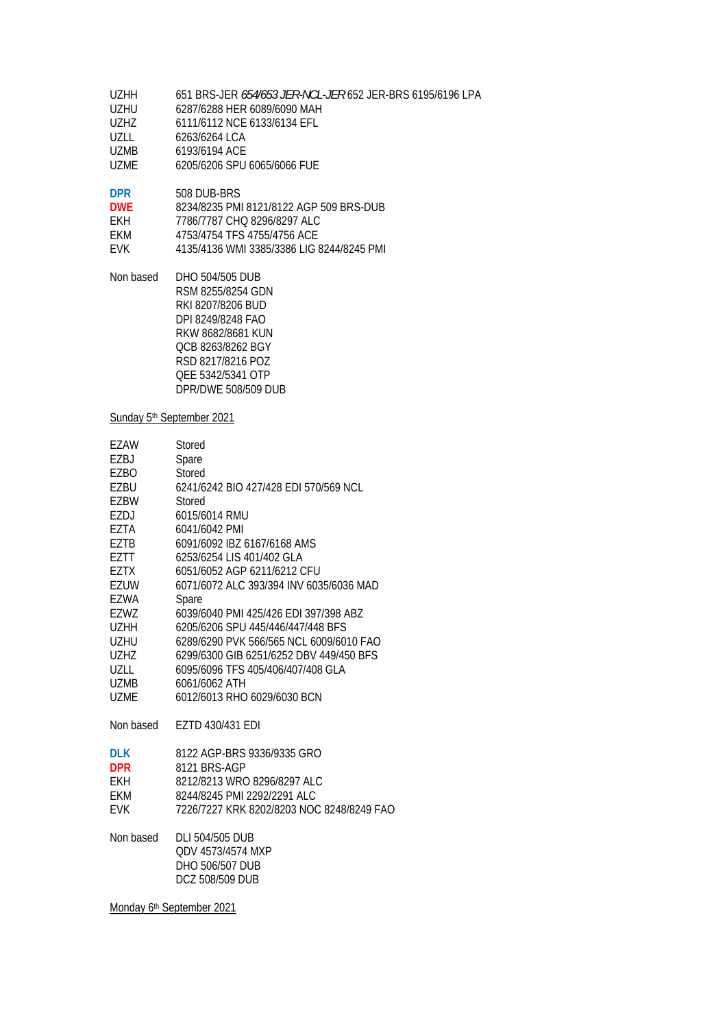| UZHH  | 651 BRS-JER 654/653 JER-NCL-JER 652 JER-BRS 6195/6196 LPA |
|-------|-----------------------------------------------------------|
| UZHU  | 6287/6288 HER 6089/6090 MAH                               |
| UZHZ. | 6111/6112 NCE 6133/6134 EFL                               |
| UZLL. | 6263/6264 LCA                                             |
| UZMB. | 6193/6194 ACE                                             |
| UZMF. | 6205/6206 SPU 6065/6066 FUE                               |
|       |                                                           |

**DPR** 508 DUB-BRS

| <b>DWF</b> | 8234/8235 PMI 8121/8122 AGP 509 BRS-DUB |
|------------|-----------------------------------------|
| FKH.       | 7786/7787 CHO 8296/8297 ALC             |
| FKM        | 4753/4754 TFS 4755/4756 ACE             |

EVK 4135/4136 WMI 3385/3386 LIG 8244/8245 PMI

Non based DHO 504/505 DUB RSM 8255/8254 GDN RKI 8207/8206 BUD DPI 8249/8248 FAO RKW 8682/8681 KUN QCB 8263/8262 BGY RSD 8217/8216 POZ QEE 5342/5341 OTP DPR/DWE 508/509 DUB

#### Sunday 5<sup>th</sup> September 2021

| EZAW        | Stored                                    |
|-------------|-------------------------------------------|
| EZBJ        | Spare                                     |
| EZBO        | Stored                                    |
| EZBU        | 6241/6242 BIO 427/428 EDI 570/569 NCL     |
| <b>EZBW</b> | Stored                                    |
| EZDJ        | 6015/6014 RMU                             |
| EZTA        | 6041/6042 PMI                             |
| <b>EZTB</b> | 6091/6092 IBZ 6167/6168 AMS               |
| EZTT        | 6253/6254 LIS 401/402 GLA                 |
| EZTX        | 6051/6052 AGP 6211/6212 CFU               |
| <b>EZUW</b> | 6071/6072 ALC 393/394 INV 6035/6036 MAD   |
| <b>EZWA</b> | Spare                                     |
| EZWZ        | 6039/6040 PMI 425/426 FDI 397/398 ABZ     |
| <b>UZHH</b> | 6205/6206 SPU 445/446/447/448 BFS         |
| <b>UZHU</b> | 6289/6290 PVK 566/565 NCL 6009/6010 FAO   |
| <b>UZHZ</b> | 6299/6300 GIB 6251/6252 DBV 449/450 BFS   |
| <b>UZLL</b> | 6095/6096 TFS 405/406/407/408 GLA         |
| <b>UZMB</b> | 6061/6062 ATH                             |
| <b>UZME</b> | 6012/6013 RHO 6029/6030 BCN               |
| Non based   | EZTD 430/431 EDI                          |
| <b>DLK</b>  | 8122 AGP-BRS 9336/9335 GRO                |
| <b>DPR</b>  | 8121 BRS-AGP                              |
| <b>EKH</b>  | 8212/8213 WRO 8296/8297 ALC               |
| EKM         | 8244/8245 PMI 2292/2291 ALC               |
| <b>EVK</b>  | 7226/7227 KRK 8202/8203 NOC 8248/8249 FAO |
| Non based   | <b>DLI 504/505 DUB</b>                    |
|             | ODV 4573/4574 MXP                         |
|             | <b>DHO 506/507 DUB</b>                    |
|             | <b>DCZ 508/509 DUB</b>                    |

Monday 6<sup>th</sup> September 2021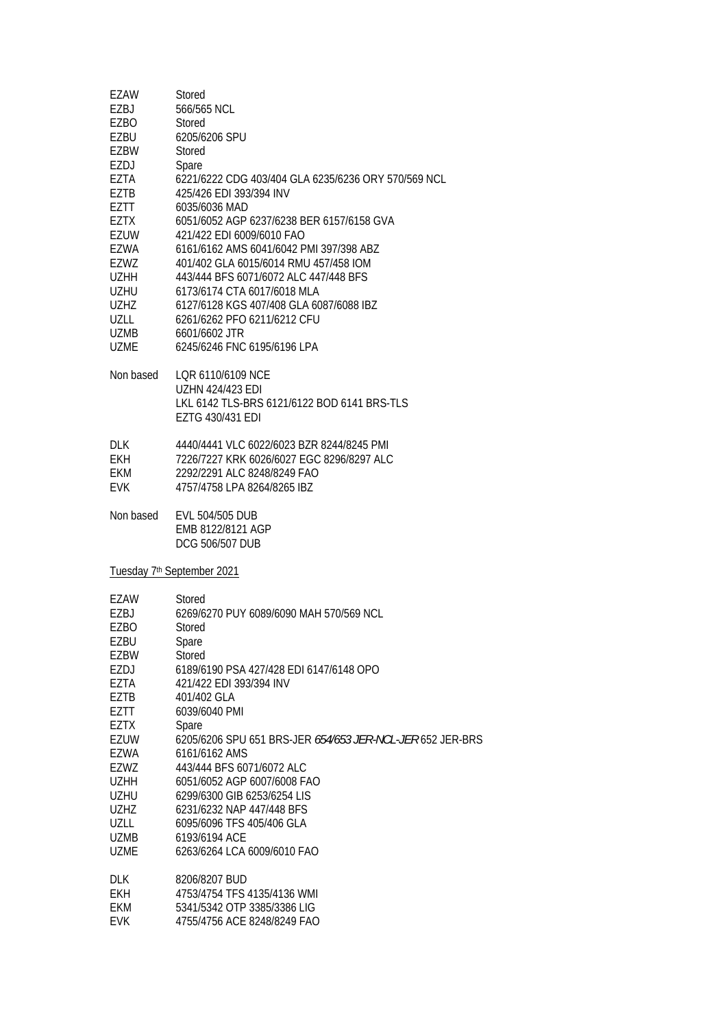| EZAW        | Stored                                                    |
|-------------|-----------------------------------------------------------|
| EZBJ        | 566/565 NCL                                               |
| EZBO        | Stored                                                    |
| EZBU        | 6205/6206 SPU                                             |
| EZBW        | Stored                                                    |
| EZDJ        | Spare                                                     |
|             | 6221/6222 CDG 403/404 GLA 6235/6236 ORY 570/569 NCL       |
| EZTA        |                                                           |
| EZTB        | 425/426 EDI 393/394 INV                                   |
| EZTT        | 6035/6036 MAD                                             |
| EZTX        | 6051/6052 AGP 6237/6238 BER 6157/6158 GVA                 |
| EZUW        | 421/422 EDI 6009/6010 FAO                                 |
| <b>EZWA</b> | 6161/6162 AMS 6041/6042 PMI 397/398 ABZ                   |
| EZWZ        | 401/402 GLA 6015/6014 RMU 457/458 IOM                     |
| UZHH        | 443/444 BFS 6071/6072 ALC 447/448 BFS                     |
| UZHU        | 6173/6174 CTA 6017/6018 MLA                               |
| <b>UZHZ</b> | 6127/6128 KGS 407/408 GLA 6087/6088 IBZ                   |
| UZLL        | 6261/6262 PFO 6211/6212 CFU                               |
|             |                                                           |
| UZMB        | 6601/6602 JTR                                             |
| <b>UZME</b> | 6245/6246 FNC 6195/6196 LPA                               |
| Non based   | LOR 6110/6109 NCE                                         |
|             | <b>UZHN 424/423 EDI</b>                                   |
|             | LKL 6142 TLS-BRS 6121/6122 BOD 6141 BRS-TLS               |
|             | EZTG 430/431 EDI                                          |
| <b>DLK</b>  | 4440/4441 VLC 6022/6023 BZR 8244/8245 PMI                 |
| <b>EKH</b>  | 7226/7227 KRK 6026/6027 EGC 8296/8297 ALC                 |
| EKM         | 2292/2291 ALC 8248/8249 FAO                               |
| <b>EVK</b>  | 4757/4758 LPA 8264/8265 IBZ                               |
|             |                                                           |
| Non based   | EVL 504/505 DUB                                           |
|             | EMB 8122/8121 AGP                                         |
|             | <b>DCG 506/507 DUB</b>                                    |
|             | Tuesday 7 <sup>th</sup> September 2021                    |
| EZAW        | Stored                                                    |
| F7BJ        | 6269/6270 PUY 6089/6090 MAH 570/569 NCL                   |
| EZBO        | <b>Stored</b>                                             |
|             |                                                           |
| EZBU        | Spare                                                     |
| EZBW        | Stored                                                    |
| EZDJ        | 6189/6190 PSA 427/428 EDI 6147/6148 OPO                   |
| EZTA        | 421/422 EDI 393/394 INV                                   |
| EZTB        | 401/402 GLA                                               |
| EZTT        | 6039/6040 PMI                                             |
| EZTX        | Spare                                                     |
| EZUW        | 6205/6206 SPU 651 BRS-JER 654/653 JER-NCL-JER 652 JER-BRS |
| EZWA        | 6161/6162 AMS                                             |
| EZWZ        | 443/444 BFS 6071/6072 ALC                                 |
| <b>UZHH</b> | 6051/6052 AGP 6007/6008 FAO                               |
| <b>UZHU</b> | 6299/6300 GIB 6253/6254 LIS                               |
| <b>UZHZ</b> | 6231/6232 NAP 447/448 BFS                                 |
|             |                                                           |
| <b>UZLL</b> | 6095/6096 TFS 405/406 GLA                                 |
| <b>UZMB</b> | 6193/6194 ACE                                             |
| <b>UZME</b> | 6263/6264 LCA 6009/6010 FAO                               |
| <b>DLK</b>  | 8206/8207 BUD                                             |
| EKH         | 4753/4754 TFS 4135/4136 WMI                               |
| EKM         | 5341/5342 OTP 3385/3386 LIG                               |
| <b>EVK</b>  | 4755/4756 ACE 8248/8249 FAO                               |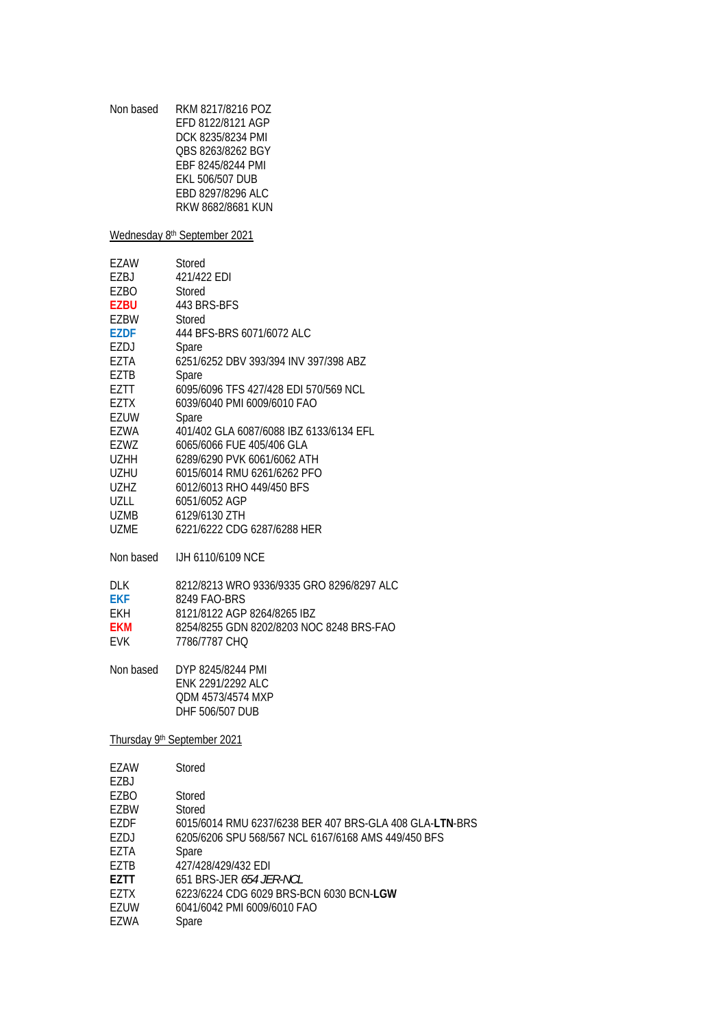| RKM 8217/8216 POZ      |
|------------------------|
| FFD 8122/8121 AGP      |
| DCK 8235/8234 PMI      |
| OBS 8263/8262 BGY      |
| EBF 8245/8244 PMI      |
| <b>FKI 506/507 DUB</b> |
| EBD 8297/8296 ALC      |
| RKW 8682/8681 KUN      |
|                        |

Wednesday 8<sup>th</sup> September 2021

| EZAW        | Stored                                  |
|-------------|-----------------------------------------|
| EZBJ        | 421/422 EDI                             |
| EZBO        | Stored                                  |
| <b>EZBU</b> | 443 BRS-BFS                             |
| <b>EZBW</b> | Stored                                  |
| <b>EZDF</b> | 444 BFS-BRS 6071/6072 ALC               |
| EZDJ        | Spare                                   |
| EZTA        | 6251/6252 DBV 393/394 INV 397/398 ABZ   |
| <b>EZTB</b> | Spare                                   |
| FZTT        | 6095/6096 TFS 427/428 EDI 570/569 NCL   |
| EZTX        | 6039/6040 PMI 6009/6010 FAO             |
| EZUW        | Spare                                   |
| EZWA        | 401/402 GLA 6087/6088 IBZ 6133/6134 EFL |
| EZWZ        | 6065/6066 FUE 405/406 GLA               |
| <b>UZHH</b> | 6289/6290 PVK 6061/6062 ATH             |
| UZHU        | 6015/6014 RMU 6261/6262 PFO             |
| <b>UZHZ</b> | 6012/6013 RHO 449/450 BFS               |
| UZLL        | 6051/6052 AGP                           |
| <b>UZMB</b> | 6129/6130 ZTH                           |
| UZME        | 6221/6222 CDG 6287/6288 HER             |
|             |                                         |

Non based IJH 6110/6109 NCE

| 8212/8213 WRO 9336/9335 GRO 8296/8297 ALC |
|-------------------------------------------|
| 8249 FAO-BRS                              |
| 8121/8122 AGP 8264/8265 IBZ               |
| 8254/8255 GDN 8202/8203 NOC 8248 BRS-FAO  |
| 7786/7787 CHO                             |
|                                           |

Non based DYP 8245/8244 PMI ENK 2291/2292 ALC QDM 4573/4574 MXP DHF 506/507 DUB

Thursday 9th September 2021

| EZAW              | Stored                                                  |
|-------------------|---------------------------------------------------------|
| EZBJ              |                                                         |
| EZBO              | Stored                                                  |
| F7 <sub>B</sub> W | Stored                                                  |
| F7DF              | 6015/6014 RMU 6237/6238 BER 407 BRS-GLA 408 GLA-LTN-BRS |
| EZDJ              | 6205/6206 SPU 568/567 NCL 6167/6168 AMS 449/450 BFS     |
| F7TA              | Spare                                                   |
| F7TB              | 427/428/429/432 FDI                                     |
| F7TT              | 651 BRS-JFR 654 JFR-NCL                                 |
| F7TX              | 6223/6224 CDG 6029 BRS-BCN 6030 BCN-LGW                 |
| EZUW              | 6041/6042 PMI 6009/6010 FAO                             |
| EZWA              | Spare                                                   |
|                   |                                                         |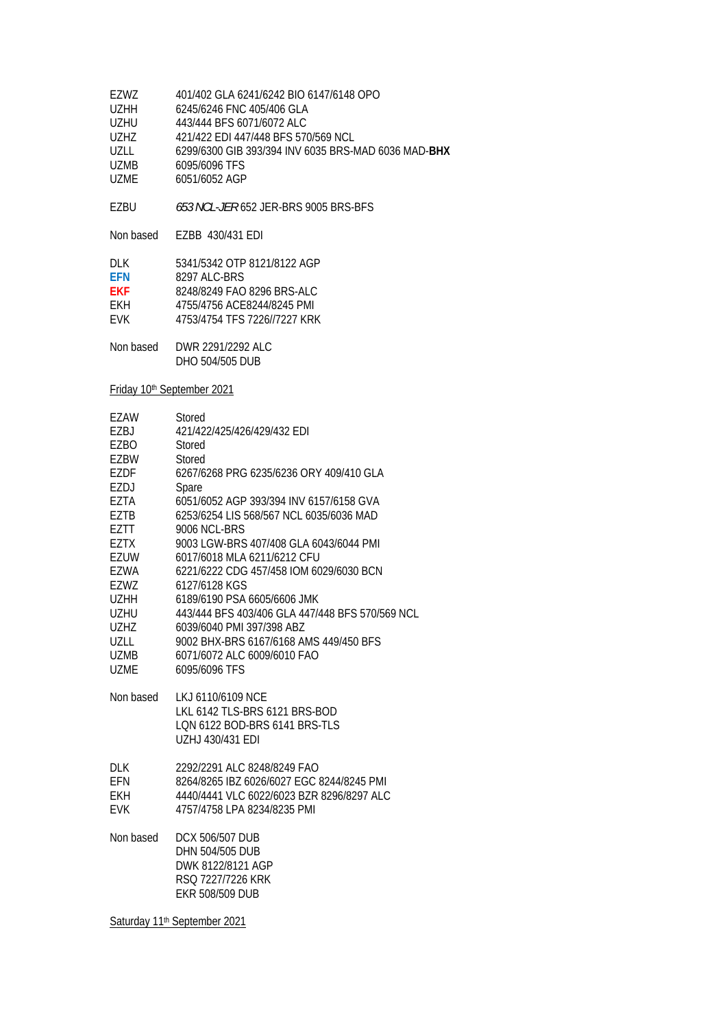| F7W7        | 401/402 GLA 6241/6242 BIO 6147/6148 OPO             |
|-------------|-----------------------------------------------------|
| <b>UZHH</b> | 6245/6246 FNC 405/406 GLA                           |
| <b>UZHU</b> | 443/444 BFS 6071/6072 ALC                           |
| UZHZ.       | 421/422 FDI 447/448 BFS 570/569 NCL                 |
| UZLL        | 6299/6300 GIB 393/394 INV 6035 BRS-MAD 6036 MAD-BHX |
| <b>UZMB</b> | 6095/6096 TFS                                       |
| UZMF        | 6051/6052 AGP                                       |
|             |                                                     |

EZBU *653 NCL-JER* 652 JER-BRS 9005 BRS-BFS

Non based EZBB 430/431 EDI

| DI K       | 5341/5342 OTP 8121/8122 AGP  |
|------------|------------------------------|
| FFN        | 8297 ALC-BRS                 |
| <b>FKF</b> | 8248/8249 FAO 8296 BRS-ALC   |
| FKH        | 4755/4756 ACF8244/8245 PMI   |
| <b>FVK</b> | 4753/4754 TFS 7226//7227 KRK |
|            |                              |

| Non based | DWR 2291/2292 ALC |
|-----------|-------------------|
|           | DHO 504/505 DUB   |

Friday 10<sup>th</sup> September 2021

| EZAW        | Stored                                          |
|-------------|-------------------------------------------------|
| EZBJ        | 421/422/425/426/429/432 EDI                     |
| EZBO        | Stored                                          |
| EZBW        | Stored                                          |
| EZDF        | 6267/6268 PRG 6235/6236 ORY 409/410 GLA         |
| EZDJ        | Spare                                           |
| EZTA        | 6051/6052 AGP 393/394 INV 6157/6158 GVA         |
| EZTB        | 6253/6254 LIS 568/567 NCL 6035/6036 MAD         |
| EZTT        | 9006 NCL-BRS                                    |
| <b>EZTX</b> | 9003 LGW-BRS 407/408 GLA 6043/6044 PMI          |
| EZUW        | 6017/6018 MLA 6211/6212 CFU                     |
| EZWA        | 6221/6222 CDG 457/458 IOM 6029/6030 BCN         |
| EZWZ        | 6127/6128 KGS                                   |
| <b>UZHH</b> | 6189/6190 PSA 6605/6606 JMK                     |
| <b>UZHU</b> | 443/444 BFS 403/406 GLA 447/448 BFS 570/569 NCL |
| <b>UZHZ</b> | 6039/6040 PMI 397/398 ABZ                       |
| UZLL        | 9002 BHX-BRS 6167/6168 AMS 449/450 BFS          |
| <b>UZMB</b> | 6071/6072 ALC 6009/6010 FAO                     |
| <b>UZME</b> | 6095/6096 TFS                                   |
| Non based   | LKJ 6110/6109 NCE                               |
|             | LKL 6142 TLS-BRS 6121 BRS-BOD                   |
|             | LQN 6122 BOD-BRS 6141 BRS-TLS                   |
|             | UZHJ 430/431 EDI                                |
| <b>DLK</b>  | 2292/2291 ALC 8248/8249 FAO                     |
| EFN         | 8264/8265 IBZ 6026/6027 EGC 8244/8245 PMI       |
| <b>EKH</b>  | 4440/4441 VLC 6022/6023 BZR 8296/8297 ALC       |
| <b>EVK</b>  | 4757/4758 LPA 8234/8235 PMI                     |
| Non based   | DCX 506/507 DUB                                 |
|             | DHN 504/505 DUB                                 |
|             | DWK 8122/8121 AGP                               |
|             | RSO 7227/7226 KRK                               |
|             | <b>EKR 508/509 DUB</b>                          |
|             |                                                 |

Saturday 11<sup>th</sup> September 2021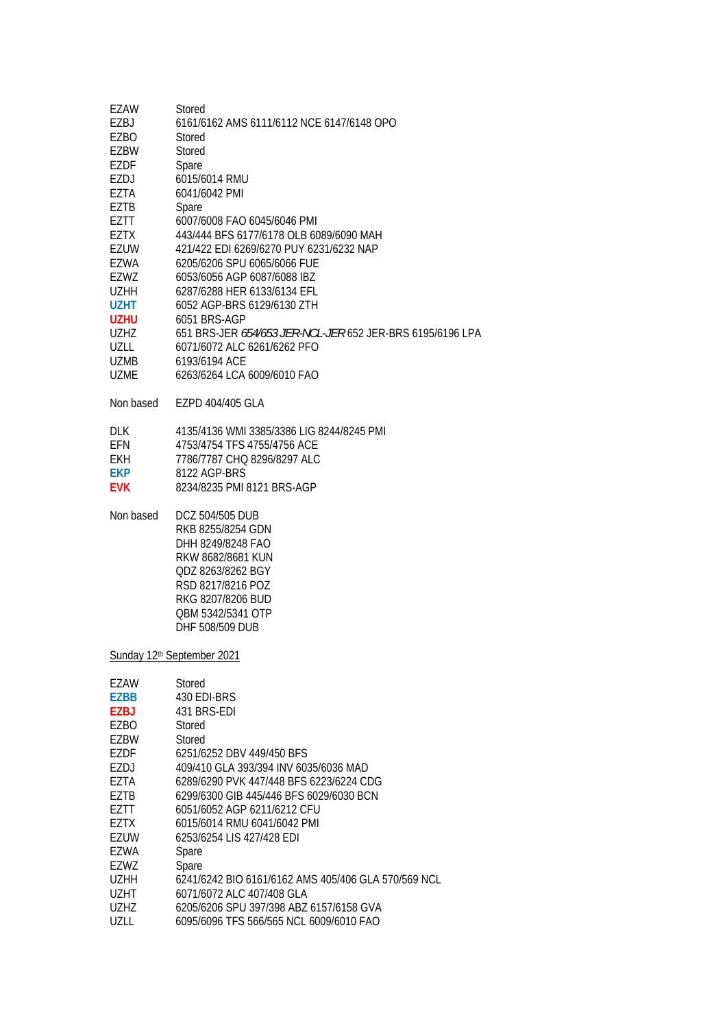| EZAW<br>EZBJ<br>EZBO<br>EZBW<br><b>EZDF</b><br>EZDJ<br>EZTA<br>EZTB<br>EZTT<br><b>EZTX</b><br><b>EZUW</b><br>EZWA<br>EZWZ<br><b>UZHH</b> | Stored<br>6161/6162 AMS 6111/6112 NCE 6147/6148 OPO<br>Stored<br>Stored<br>Spare<br>6015/6014 RMU<br>6041/6042 PMI<br>Spare<br>6007/6008 FAO 6045/6046 PMI<br>443/444 BFS 6177/6178 OLB 6089/6090 MAH<br>421/422 EDI 6269/6270 PUY 6231/6232 NAP<br>6205/6206 SPU 6065/6066 FUE<br>6053/6056 AGP 6087/6088 IBZ<br>6287/6288 HER 6133/6134 EFL |
|------------------------------------------------------------------------------------------------------------------------------------------|-----------------------------------------------------------------------------------------------------------------------------------------------------------------------------------------------------------------------------------------------------------------------------------------------------------------------------------------------|
| <b>UZHT</b>                                                                                                                              | 6052 AGP-BRS 6129/6130 ZTH                                                                                                                                                                                                                                                                                                                    |
| <b>UZHU</b>                                                                                                                              | 6051 BRS-AGP                                                                                                                                                                                                                                                                                                                                  |
| <b>UZHZ</b><br><b>UZLL</b>                                                                                                               | 651 BRS-JER 654/653 JER-NCL-JER 652 JER-BRS 6195/6196 LPA                                                                                                                                                                                                                                                                                     |
| <b>UZMB</b>                                                                                                                              | 6071/6072 ALC 6261/6262 PFO<br>6193/6194 ACE                                                                                                                                                                                                                                                                                                  |
| <b>UZME</b>                                                                                                                              | 6263/6264 LCA 6009/6010 FAO                                                                                                                                                                                                                                                                                                                   |
| Non based                                                                                                                                | EZPD 404/405 GLA                                                                                                                                                                                                                                                                                                                              |
| <b>DLK</b><br>EFN<br><b>EKH</b><br><b>EKP</b><br><b>EVK</b>                                                                              | 4135/4136 WMI 3385/3386 LIG 8244/8245 PMI<br>4753/4754 TFS 4755/4756 ACE<br>7786/7787 CHQ 8296/8297 ALC<br>8122 AGP-BRS<br>8234/8235 PMI 8121 BRS-AGP                                                                                                                                                                                         |
| Non based                                                                                                                                | DCZ 504/505 DUB<br>RKB 8255/8254 GDN<br>DHH 8249/8248 FAO<br>RKW 8682/8681 KUN<br>QDZ 8263/8262 BGY<br>RSD 8217/8216 POZ<br>RKG 8207/8206 BUD<br>QBM 5342/5341 OTP<br>DHF 508/509 DUB                                                                                                                                                         |
|                                                                                                                                          | Sunday 12 <sup>th</sup> September 2021                                                                                                                                                                                                                                                                                                        |
| EZAW<br><b>EZBB</b><br><b>EZBJ</b><br><b>EZBO</b><br>EZBW                                                                                | Stored<br>430 EDI-BRS<br>431 BRS-EDI<br>Stored<br>Stored                                                                                                                                                                                                                                                                                      |
| <b>EZDF</b>                                                                                                                              | 6251/6252 DBV 449/450 BFS                                                                                                                                                                                                                                                                                                                     |
| EZDJ                                                                                                                                     | 409/410 GLA 393/394 INV 6035/6036 MAD                                                                                                                                                                                                                                                                                                         |
| EZTA                                                                                                                                     | 6289/6290 PVK 447/448 BFS 6223/6224 CDG                                                                                                                                                                                                                                                                                                       |
| EZTB<br>EZTT                                                                                                                             | 6299/6300 GIB 445/446 BFS 6029/6030 BCN<br>6051/6052 AGP 6211/6212 CFU                                                                                                                                                                                                                                                                        |
| EZTX                                                                                                                                     | 6015/6014 RMU 6041/6042 PMI                                                                                                                                                                                                                                                                                                                   |
| <b>EZUW</b>                                                                                                                              | 6253/6254 LIS 427/428 EDI                                                                                                                                                                                                                                                                                                                     |
| <b>EZWA</b>                                                                                                                              | Spare                                                                                                                                                                                                                                                                                                                                         |
| EZWZ                                                                                                                                     | Spare                                                                                                                                                                                                                                                                                                                                         |
| <b>UZHH</b>                                                                                                                              | 6241/6242 BIO 6161/6162 AMS 405/406 GLA 570/569 NCL                                                                                                                                                                                                                                                                                           |
| <b>UZHT</b><br><b>UZHZ</b>                                                                                                               | 6071/6072 ALC 407/408 GLA<br>6205/6206 SPU 397/398 ABZ 6157/6158 GVA                                                                                                                                                                                                                                                                          |
| <b>UZLL</b>                                                                                                                              | 6095/6096 TFS 566/565 NCL 6009/6010 FAO                                                                                                                                                                                                                                                                                                       |
|                                                                                                                                          |                                                                                                                                                                                                                                                                                                                                               |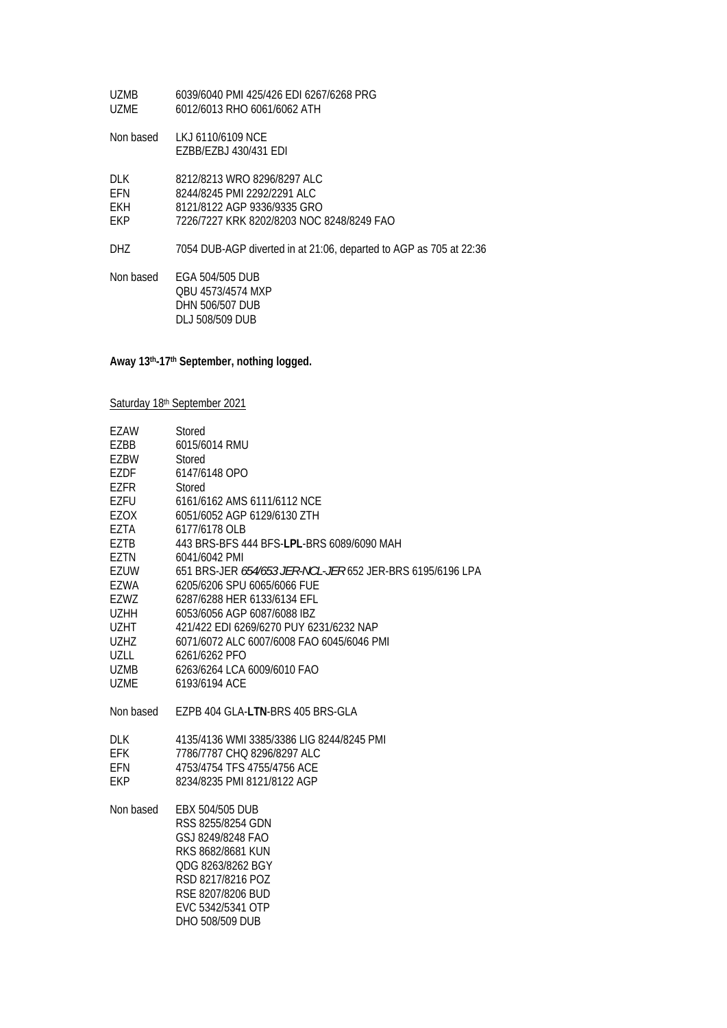| <b>UZMB</b><br><b>UZME</b>       | 6039/6040 PMI 425/426 EDI 6267/6268 PRG<br>6012/6013 RHO 6061/6062 ATH                                                                 |
|----------------------------------|----------------------------------------------------------------------------------------------------------------------------------------|
| Non based                        | LKJ 6110/6109 NCE<br>EZBB/EZBJ 430/431 EDI                                                                                             |
| DI K<br>EFN<br><b>EKH</b><br>EKP | 8212/8213 WRO 8296/8297 ALC<br>8244/8245 PMI 2292/2291 ALC<br>8121/8122 AGP 9336/9335 GRO<br>7226/7227 KRK 8202/8203 NOC 8248/8249 FAO |
| DHZ                              | 7054 DUB-AGP diverted in at 21:06, departed to AGP as 705 at 22:36                                                                     |
| Non based                        | EGA 504/505 DUB<br>OBU 4573/4574 MXP<br>DHN 506/507 DUB<br><b>DLJ 508/509 DUB</b>                                                      |

**Away 13th-17th September, nothing logged.** 

Saturday 18th September 2021

| EZAW        | Stored                                                    |
|-------------|-----------------------------------------------------------|
| EZBB        | 6015/6014 RMU                                             |
| EZBW        | Stored                                                    |
| EZDF        | 6147/6148 OPO                                             |
| EZFR        | Stored                                                    |
| EZFU        | 6161/6162 AMS 6111/6112 NCE                               |
| EZOX        | 6051/6052 AGP 6129/6130 ZTH                               |
| EZTA        | 6177/6178 OLB                                             |
| EZTB        | 443 BRS-BFS 444 BFS-LPL-BRS 6089/6090 MAH                 |
| EZTN        | 6041/6042 PMI                                             |
| EZUW        | 651 BRS-JER 654/653 JER-NCL-JER 652 JER-BRS 6195/6196 LPA |
| EZWA        | 6205/6206 SPU 6065/6066 FUE                               |
| EZWZ        | 6287/6288 HER 6133/6134 EFL                               |
| <b>UZHH</b> | 6053/6056 AGP 6087/6088 IBZ                               |
| UZHT        | 421/422 EDI 6269/6270 PUY 6231/6232 NAP                   |
| <b>UZHZ</b> | 6071/6072 ALC 6007/6008 FAO 6045/6046 PMI                 |
| UZLL        | 6261/6262 PFO                                             |
| UZMB        | 6263/6264 LCA 6009/6010 FAO                               |
| <b>UZME</b> | 6193/6194 ACF                                             |
| Non based   | EZPB 404 GLA-LTN-BRS 405 BRS-GLA                          |
| DLK         | 4135/4136 WMI 3385/3386 LIG 8244/8245 PMI                 |
| <b>EFK</b>  | 7786/7787 CHQ 8296/8297 ALC                               |
| EFN         | 4753/4754 TFS 4755/4756 ACE                               |
| <b>EKP</b>  | 8234/8235 PMI 8121/8122 AGP                               |
| Non based   | EBX 504/505 DUB                                           |
|             | RSS 8255/8254 GDN                                         |
|             | GSJ 8249/8248 FAO                                         |
|             | RKS 8682/8681 KUN                                         |
|             | QDG 8263/8262 BGY                                         |
|             | RSD 8217/8216 POZ                                         |
|             | RSE 8207/8206 BUD                                         |
|             | EVC 5342/5341 OTP                                         |
|             | DHO 508/509 DUB                                           |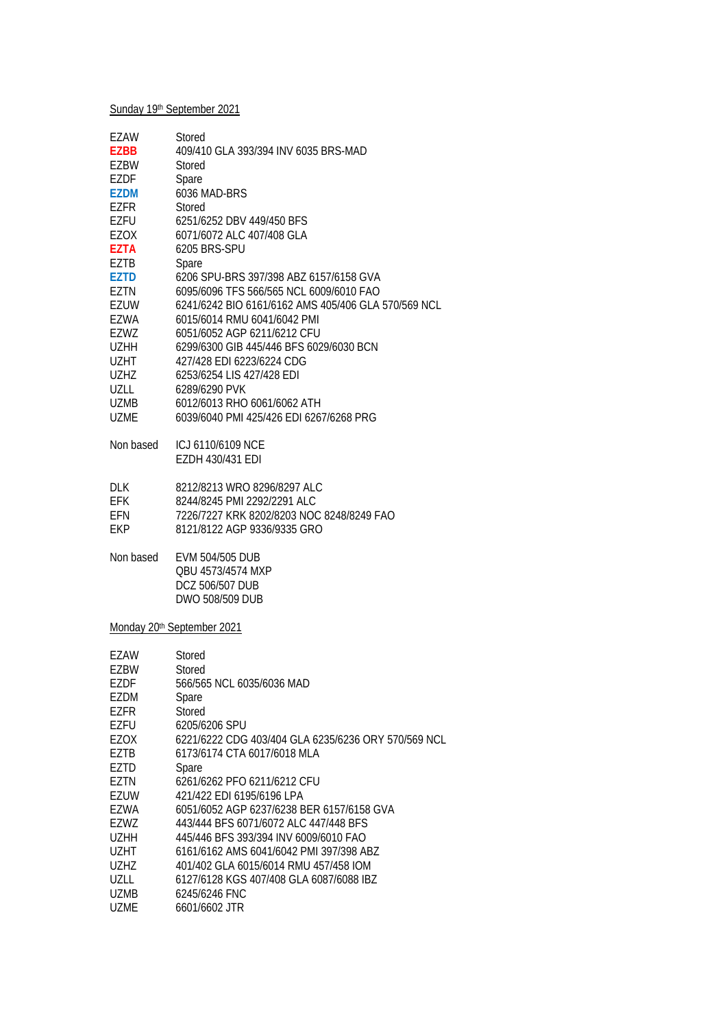## Sunday 19th September 2021

| <b>EZAW</b><br><b>EZBB</b><br>F7BW<br>EZDF<br><b>EZDM</b><br>F7FR<br>EZFU | Stored<br>409/410 GLA 393/394 INV 6035 BRS-MAD<br>Stored<br>Spare<br>6036 MAD-BRS<br>Stored<br>6251/6252 DBV 449/450 BFS |
|---------------------------------------------------------------------------|--------------------------------------------------------------------------------------------------------------------------|
| EZOX                                                                      | 6071/6072 ALC 407/408 GLA                                                                                                |
| <b>F7TA</b>                                                               | 6205 BRS-SPU                                                                                                             |
| EZTB                                                                      | Spare                                                                                                                    |
| F7TD                                                                      | 6206 SPU-BRS 397/398 AB7 6157/6158 GVA                                                                                   |
| EZTN                                                                      | 6095/6096 TFS 566/565 NCL 6009/6010 FAO                                                                                  |
| EZUW                                                                      | 6241/6242 BIO 6161/6162 AMS 405/406 GLA 570/569 NCL                                                                      |
| EZWA                                                                      | 6015/6014 RMU 6041/6042 PMI                                                                                              |
| EZWZ                                                                      | 6051/6052 AGP 6211/6212 CFU                                                                                              |
| <b>UZHH</b>                                                               | 6299/6300 GIB 445/446 BFS 6029/6030 BCN                                                                                  |
| <b>UZHT</b>                                                               | 427/428 EDI 6223/6224 CDG                                                                                                |
| <b>UZHZ</b>                                                               | 6253/6254 LIS 427/428 EDI                                                                                                |
| UZLL                                                                      | 6289/6290 PVK                                                                                                            |
| UZMB                                                                      | 6012/6013 RHO 6061/6062 ATH                                                                                              |
| UZMF                                                                      | 6039/6040 PML425/426 FDL6267/6268 PRG                                                                                    |
| Non based                                                                 | ICJ 6110/6109 NCF                                                                                                        |
|                                                                           | EZDH 430/431 EDI                                                                                                         |
| <b>DLK</b>                                                                | 8212/8213 WRO 8296/8297 ALC                                                                                              |
| <b>EFK</b>                                                                | 8244/8245 PMI 2292/2291 ALC                                                                                              |
| EFN                                                                       | 7226/7227 KRK 8202/8203 NOC 8248/8249 FAO                                                                                |

EKP 8121/8122 AGP 9336/9335 GRO

Non based EVM 504/505 DUB QBU 4573/4574 MXP DCZ 506/507 DUB DWO 508/509 DUB

Monday 20<sup>th</sup> September 2021

| EZAW        | Stored                                              |
|-------------|-----------------------------------------------------|
| <b>EZBW</b> | Stored                                              |
| <b>EZDF</b> | 566/565 NCL 6035/6036 MAD                           |
| EZDM        | Spare                                               |
| EZFR        | Stored                                              |
| EZFU        | 6205/6206 SPU                                       |
| EZOX        | 6221/6222 CDG 403/404 GLA 6235/6236 ORY 570/569 NCL |
| EZTB        | 6173/6174 CTA 6017/6018 MLA                         |
| EZTD        | Spare                                               |
| F7TN        | 6261/6262 PFO 6211/6212 CFU                         |
| EZUW        | 421/422 EDI 6195/6196 LPA                           |
| F7WA        | 6051/6052 AGP 6237/6238 BER 6157/6158 GVA           |
| <b>FZWZ</b> | 443/444 BFS 6071/6072 ALC 447/448 BFS               |
| <b>UZHH</b> | 445/446 BFS 393/394 INV 6009/6010 FAO               |
| UZHT        | 6161/6162 AMS 6041/6042 PMI 397/398 ABZ             |
| UZHZ        | 401/402 GLA 6015/6014 RMU 457/458 IOM               |
| UZLL        | 6127/6128 KGS 407/408 GLA 6087/6088 IBZ             |
| UZMB        | 6245/6246 FNC                                       |
| UZME        | 6601/6602 JTR                                       |
|             |                                                     |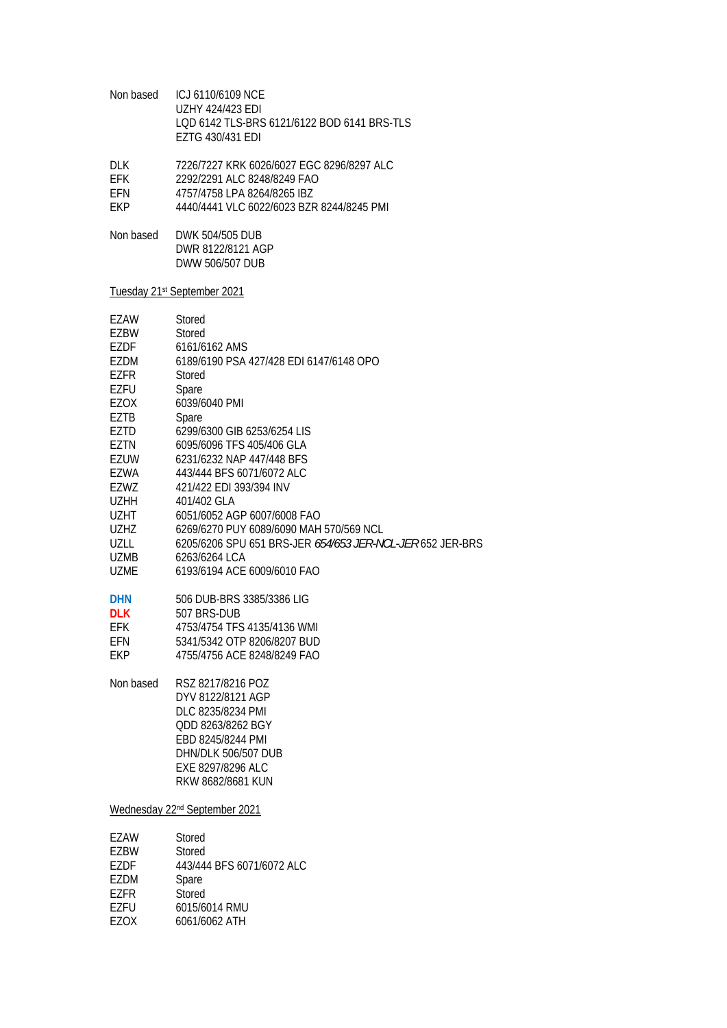| Non based                                                                                                                                                                                                                                                                   | ICJ 6110/6109 NCE<br><b>UZHY 424/423 EDI</b><br>LQD 6142 TLS-BRS 6121/6122 BOD 6141 BRS-TLS<br>EZTG 430/431 EDI                                                                                                                                                                                                                                                                                                                                                                                                                                                                                                           |
|-----------------------------------------------------------------------------------------------------------------------------------------------------------------------------------------------------------------------------------------------------------------------------|---------------------------------------------------------------------------------------------------------------------------------------------------------------------------------------------------------------------------------------------------------------------------------------------------------------------------------------------------------------------------------------------------------------------------------------------------------------------------------------------------------------------------------------------------------------------------------------------------------------------------|
| <b>DLK</b><br><b>EFK</b><br>EFN<br>EKP                                                                                                                                                                                                                                      | 7226/7227 KRK 6026/6027 EGC 8296/8297 ALC<br>2292/2291 ALC 8248/8249 FAO<br>4757/4758 LPA 8264/8265 IBZ<br>4440/4441 VLC 6022/6023 BZR 8244/8245 PMI                                                                                                                                                                                                                                                                                                                                                                                                                                                                      |
| Non based                                                                                                                                                                                                                                                                   | DWK 504/505 DUB<br>DWR 8122/8121 AGP<br>DWW 506/507 DUB                                                                                                                                                                                                                                                                                                                                                                                                                                                                                                                                                                   |
|                                                                                                                                                                                                                                                                             | Tuesday 21 <sup>st</sup> September 2021                                                                                                                                                                                                                                                                                                                                                                                                                                                                                                                                                                                   |
| EZAW<br>EZBW<br>EZDF<br><b>EZDM</b><br><b>EZFR</b><br>EZFU<br>EZOX<br>EZTB<br><b>EZTD</b><br>EZTN<br><b>EZUW</b><br>EZWA<br>EZWZ<br><b>UZHH</b><br><b>UZHT</b><br><b>UZHZ</b><br><b>UZLL</b><br><b>UZMB</b><br><b>UZME</b><br><b>DHN</b><br><b>DLK</b><br>EFK<br>EFN<br>EKP | Stored<br>Stored<br>6161/6162 AMS<br>6189/6190 PSA 427/428 EDI 6147/6148 OPO<br>Stored<br>Spare<br>6039/6040 PMI<br>Spare<br>6299/6300 GIB 6253/6254 LIS<br>6095/6096 TFS 405/406 GLA<br>6231/6232 NAP 447/448 BFS<br>443/444 BFS 6071/6072 ALC<br>421/422 EDI 393/394 INV<br>401/402 GLA<br>6051/6052 AGP 6007/6008 FAO<br>6269/6270 PUY 6089/6090 MAH 570/569 NCL<br>6205/6206 SPU 651 BRS-JER 654/653 JER-NCL-JER 652 JER-BRS<br>6263/6264 LCA<br>6193/6194 ACE 6009/6010 FAO<br>506 DUB-BRS 3385/3386 LIG<br>507 BRS-DUB<br>4753/4754 TFS 4135/4136 WMI<br>5341/5342 OTP 8206/8207 BUD<br>4755/4756 ACE 8248/8249 FAO |
| Non based                                                                                                                                                                                                                                                                   | RSZ 8217/8216 POZ<br>DYV 8122/8121 AGP<br>DLC 8235/8234 PMI<br>QDD 8263/8262 BGY<br>EBD 8245/8244 PMI<br><b>DHN/DLK 506/507 DUB</b><br>EXE 8297/8296 ALC<br>RKW 8682/8681 KUN                                                                                                                                                                                                                                                                                                                                                                                                                                             |
|                                                                                                                                                                                                                                                                             | Wednesday 22 <sup>nd</sup> September 2021                                                                                                                                                                                                                                                                                                                                                                                                                                                                                                                                                                                 |
| EZAW<br>EZBW<br>EZDF<br>EZDM<br><b>EZFR</b><br>EZFU<br>EZOX                                                                                                                                                                                                                 | Stored<br>Stored<br>443/444 BFS 6071/6072 ALC<br>Spare<br>Stored<br>6015/6014 RMU<br>6061/6062 ATH                                                                                                                                                                                                                                                                                                                                                                                                                                                                                                                        |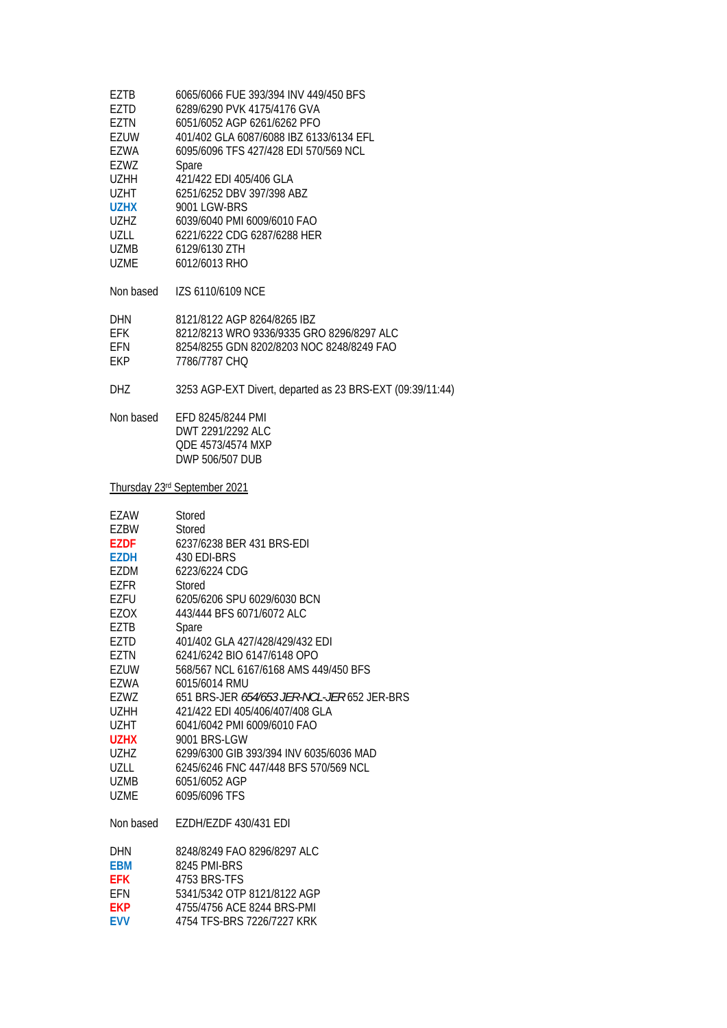| EZTB        | 6065/6066 FUE 393/394 INV 449/450 BFS                     |
|-------------|-----------------------------------------------------------|
| EZTD        | 6289/6290 PVK 4175/4176 GVA                               |
| EZTN        | 6051/6052 AGP 6261/6262 PFO                               |
| <b>EZUW</b> | 401/402 GLA 6087/6088 IBZ 6133/6134 EFL                   |
| EZWA        | 6095/6096 TFS 427/428 EDI 570/569 NCL                     |
|             |                                                           |
| EZWZ        | Spare                                                     |
| UZHH        | 421/422 EDI 405/406 GLA                                   |
| UZHT        | 6251/6252 DBV 397/398 ABZ                                 |
| <b>UZHX</b> | 9001 LGW-BRS                                              |
| <b>UZHZ</b> | 6039/6040 PMI 6009/6010 FAO                               |
| UZLL        | 6221/6222 CDG 6287/6288 HER                               |
| <b>UZMB</b> | 6129/6130 ZTH                                             |
| <b>UZME</b> | 6012/6013 RHO                                             |
|             |                                                           |
| Non based   | IZS 6110/6109 NCE                                         |
|             |                                                           |
| DHN         | 8121/8122 AGP 8264/8265 IBZ                               |
| EFK         | 8212/8213 WRO 9336/9335 GRO 8296/8297 ALC                 |
| EFN         | 8254/8255 GDN 8202/8203 NOC 8248/8249 FAO                 |
| EKP         | 7786/7787 CHQ                                             |
|             |                                                           |
| <b>DHZ</b>  | 3253 AGP-EXT Divert, departed as 23 BRS-EXT (09:39/11:44) |
| Non based   | EFD 8245/8244 PMI                                         |
|             |                                                           |
|             | DWT 2291/2292 ALC                                         |
|             | QDE 4573/4574 MXP                                         |
|             | DWP 506/507 DUB                                           |
|             | Thursday 23rd September 2021                              |
|             |                                                           |
|             |                                                           |
| EZAW        | Stored                                                    |
| EZBW        | Stored                                                    |
| <b>EZDF</b> | 6237/6238 BER 431 BRS-EDI                                 |
| EZDH        | 430 EDI-BRS                                               |
| EZDM        | 6223/6224 CDG                                             |
|             |                                                           |
| EZFR        | Stored                                                    |
| EZFU        | 6205/6206 SPU 6029/6030 BCN                               |
| <b>EZOX</b> | 443/444 BFS 6071/6072 ALC                                 |
| EZTB        | Spare                                                     |
| EZTD        | 401/402 GLA 427/428/429/432 EDI                           |
| EZTN        | 6241/6242 BIO 6147/6148 OPO                               |
| EZUW        | 568/567 NCL 6167/6168 AMS 449/450 BFS                     |
| <b>EZWA</b> | 6015/6014 RMU                                             |
| EZWZ        | 651 BRS-JER <i>654/653 JER-NCL-JER</i> 652 JER-BRS        |
|             |                                                           |
| <b>UZHH</b> | 421/422 EDI 405/406/407/408 GLA                           |
| UZHT        | 6041/6042 PMI 6009/6010 FAO                               |
| <b>UZHX</b> | 9001 BRS-LGW                                              |
| UZHZ        | 6299/6300 GIB 393/394 INV 6035/6036 MAD                   |
| UZLL        | 6245/6246 FNC 447/448 BFS 570/569 NCL                     |
| UZMB        | 6051/6052 AGP                                             |
| <b>UZME</b> | 6095/6096 TFS                                             |
| Non based   | EZDH/EZDF 430/431 EDI                                     |
|             |                                                           |
| <b>DHN</b>  | 8248/8249 FAO 8296/8297 ALC                               |
| <b>EBM</b>  | 8245 PMI-BRS                                              |
| <b>EFK</b>  | 4753 BRS-TFS                                              |
| EFN         | 5341/5342 OTP 8121/8122 AGP                               |
| <b>EKP</b>  | 4755/4756 ACE 8244 BRS-PMI                                |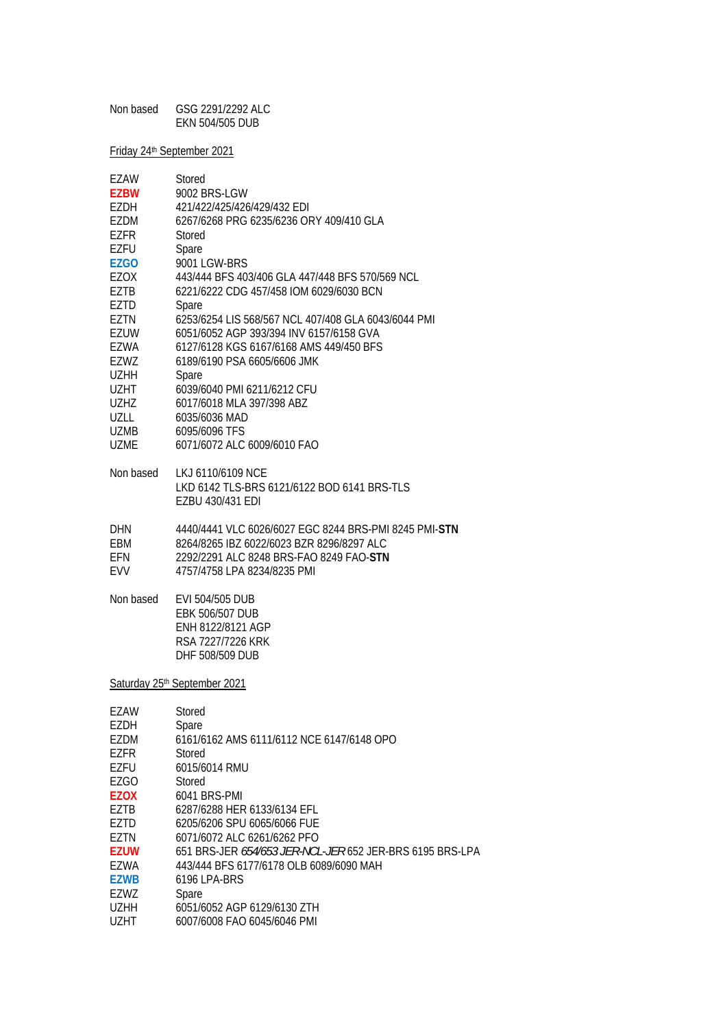| Non based | GSG 2291/2292 ALC |
|-----------|-------------------|
|           | EKN 504/505 DUB   |

Friday 24th September 2021

| EZAW         | Stored                                                   |
|--------------|----------------------------------------------------------|
| <b>EZBW</b>  | 9002 BRS-LGW                                             |
| EZDH         | 421/422/425/426/429/432 EDI                              |
| <b>EZDM</b>  | 6267/6268 PRG 6235/6236 ORY 409/410 GLA                  |
| EZFR         | Stored                                                   |
| EZFU         | Spare                                                    |
| EZGO         | 9001 LGW-BRS                                             |
| EZOX         | 443/444 BFS 403/406 GLA 447/448 BFS 570/569 NCL          |
| EZTB         | 6221/6222 CDG 457/458 IOM 6029/6030 BCN                  |
| EZTD         | Spare                                                    |
| EZTN         | 6253/6254 LIS 568/567 NCL 407/408 GLA 6043/6044 PMI      |
| EZUW         | 6051/6052 AGP 393/394 INV 6157/6158 GVA                  |
| EZWA         | 6127/6128 KGS 6167/6168 AMS 449/450 BFS                  |
| EZWZ         | 6189/6190 PSA 6605/6606 JMK                              |
| <b>UZHH</b>  | Spare                                                    |
| <b>UZHT</b>  | 6039/6040 PMI 6211/6212 CFU                              |
| <b>UZHZ</b>  | 6017/6018 MLA 397/398 ABZ                                |
| UZLL         | 6035/6036 MAD                                            |
| <b>UZMB</b>  | 6095/6096 TFS                                            |
| <b>UZME</b>  | 6071/6072 ALC 6009/6010 FAO                              |
|              |                                                          |
| Non based    | LKJ 6110/6109 NCE                                        |
|              | LKD 6142 TLS-BRS 6121/6122 BOD 6141 BRS-TLS              |
|              | EZBU 430/431 EDI                                         |
| DHN          | 4440/4441 VLC 6026/6027 EGC 8244 BRS-PMI 8245 PMI-STN    |
| EBM          | 8264/8265 IBZ 6022/6023 BZR 8296/8297 ALC                |
| EFN          | 2292/2291 ALC 8248 BRS-FAO 8249 FAO-STN                  |
| <b>EVV</b>   | 4757/4758 LPA 8234/8235 PMI                              |
|              |                                                          |
| Non based    | EVI 504/505 DUB                                          |
|              | <b>EBK 506/507 DUB</b>                                   |
|              | ENH 8122/8121 AGP                                        |
|              | RSA 7227/7226 KRK                                        |
|              | DHF 508/509 DUB                                          |
|              |                                                          |
|              | Saturday 25th September 2021                             |
|              |                                                          |
| EZAW         | Stored                                                   |
| EZDH         | Spare                                                    |
| EZDM         | 6161/6162 AMS 6111/6112 NCE 6147/6148 OPO                |
| EZFR<br>EZFU | Stored<br>6015/6014 RMU                                  |
| <b>EZGO</b>  | Stored                                                   |
| <b>EZOX</b>  | 6041 BRS-PMI                                             |
| EZTB         | 6287/6288 HER 6133/6134 EFL                              |
| EZTD         | 6205/6206 SPU 6065/6066 FUE                              |
| EZTN         | 6071/6072 ALC 6261/6262 PFO                              |
| EZUW         | 651 BRS-JER 654/653 JER-NCL-JER 652 JER-BRS 6195 BRS-LPA |
| EZWA         | 443/444 BFS 6177/6178 OLB 6089/6090 MAH                  |
| <b>EZWB</b>  | 6196 LPA-BRS                                             |
| EZWZ         | Spare                                                    |
| <b>UZHH</b>  | 6051/6052 AGP 6129/6130 ZTH                              |
| <b>UZHT</b>  | 6007/6008 FAO 6045/6046 PMI                              |
|              |                                                          |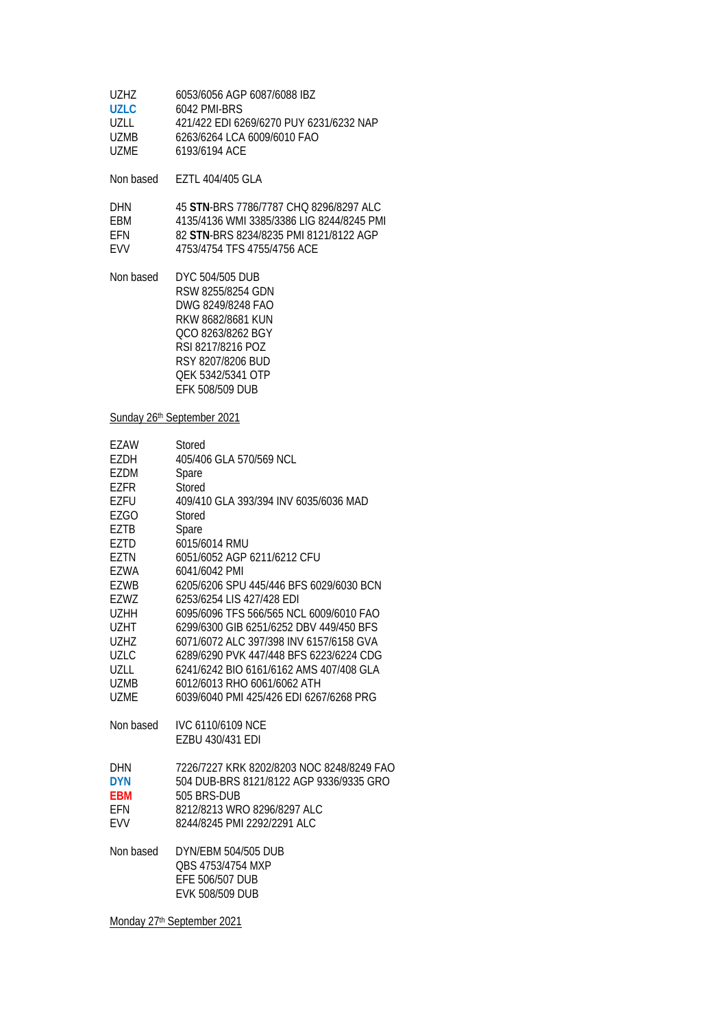| 6053/6056 AGP 6087/6088 IBZ             |
|-----------------------------------------|
| 6042 PMI-BRS                            |
| 421/422 EDI 6269/6270 PUY 6231/6232 NAP |
| 6263/6264 LCA 6009/6010 FAO             |
| 6193/6194 ACF                           |
|                                         |

Non based EZTL 404/405 GLA

| <b>DHN</b> | 45 STN-BRS 7786/7787 CHO 8296/8297 ALC    |
|------------|-------------------------------------------|
| FRM        | 4135/4136 WMI 3385/3386 LIG 8244/8245 PMI |
| <b>FFN</b> | 82 STN-BRS 8234/8235 PMI 8121/8122 AGP    |
| <b>FWV</b> | 4753/4754 TFS 4755/4756 ACE               |

Non based DYC 504/505 DUB RSW 8255/8254 GDN DWG 8249/8248 FAO RKW 8682/8681 KUN QCO 8263/8262 BGY RSI 8217/8216 POZ RSY 8207/8206 BUD QEK 5342/5341 OTP EFK 508/509 DUB

#### Sunday 26<sup>th</sup> September 2021

| <b>EZAW</b> | Stored                                    |
|-------------|-------------------------------------------|
| EZDH        | 405/406 GLA 570/569 NCL                   |
| EZDM        | Spare                                     |
| EZFR        | Stored                                    |
| EZFU        | 409/410 GLA 393/394 INV 6035/6036 MAD     |
| EZGO        | Stored                                    |
| <b>EZTB</b> | Spare                                     |
| EZTD        | 6015/6014 RMU                             |
| EZTN        | 6051/6052 AGP 6211/6212 CFU               |
| EZWA        | 6041/6042 PMI                             |
| EZWB        | 6205/6206 SPU 445/446 BFS 6029/6030 BCN   |
| EZWZ        | 6253/6254 LIS 427/428 EDI                 |
| <b>UZHH</b> | 6095/6096 TFS 566/565 NCL 6009/6010 FAO   |
| <b>UZHT</b> | 6299/6300 GIB 6251/6252 DBV 449/450 BFS   |
| <b>UZHZ</b> | 6071/6072 ALC 397/398 INV 6157/6158 GVA   |
| <b>UZLC</b> | 6289/6290 PVK 447/448 BFS 6223/6224 CDG   |
| UZLL        | 6241/6242 BIO 6161/6162 AMS 407/408 GLA   |
| <b>UZMB</b> | 6012/6013 RHO 6061/6062 ATH               |
| <b>UZME</b> | 6039/6040 PMI 425/426 EDI 6267/6268 PRG   |
| Non based   | <b>IVC 6110/6109 NCE</b>                  |
|             | EZBU 430/431 EDI                          |
| <b>DHN</b>  | 7226/7227 KRK 8202/8203 NOC 8248/8249 FAO |
| <b>DYN</b>  | 504 DUB-BRS 8121/8122 AGP 9336/9335 GRO   |
| EBM         | 505 BRS-DUB                               |
| <b>EFN</b>  | 8212/8213 WRO 8296/8297 ALC               |
| <b>EVV</b>  | 8244/8245 PMI 2292/2291 ALC               |
| Non based   | DYN/EBM 504/505 DUB                       |
|             | OBS 4753/4754 MXP                         |
|             | EFE 506/507 DUB                           |
|             | <b>EVK 508/509 DUB</b>                    |
|             |                                           |

Monday 27th September 2021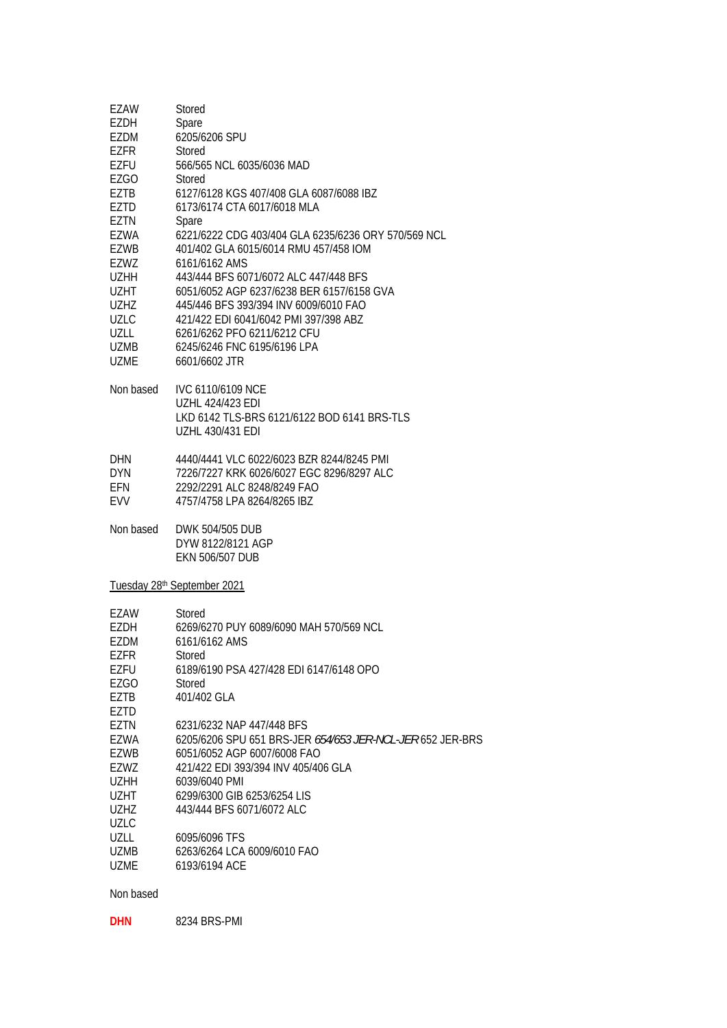| EZAW<br>EZDH<br>EZDM<br><b>EZFR</b><br>EZFU<br>EZGO<br>EZTB<br>EZTD<br>EZTN<br><b>EZWA</b><br>EZWB<br>EZWZ<br>UZHH<br>UZHT<br>UZHZ<br><b>UZLC</b><br>UZLL<br>UZMB<br><b>UZME</b><br>Non based | Stored<br>Spare<br>6205/6206 SPU<br>Stored<br>566/565 NCL 6035/6036 MAD<br>Stored<br>6127/6128 KGS 407/408 GLA 6087/6088 IBZ<br>6173/6174 CTA 6017/6018 MLA<br>Spare<br>6221/6222 CDG 403/404 GLA 6235/6236 ORY 570/569 NCL<br>401/402 GLA 6015/6014 RMU 457/458 IOM<br>6161/6162 AMS<br>443/444 BFS 6071/6072 ALC 447/448 BFS<br>6051/6052 AGP 6237/6238 BER 6157/6158 GVA<br>445/446 BFS 393/394 INV 6009/6010 FAO<br>421/422 EDI 6041/6042 PMI 397/398 ABZ<br>6261/6262 PFO 6211/6212 CFU<br>6245/6246 FNC 6195/6196 LPA<br>6601/6602 JTR<br><b>IVC 6110/6109 NCE</b><br><b>UZHL 424/423 EDI</b><br>LKD 6142 TLS-BRS 6121/6122 BOD 6141 BRS-TLS<br><b>UZHL 430/431 EDI</b> |
|-----------------------------------------------------------------------------------------------------------------------------------------------------------------------------------------------|-------------------------------------------------------------------------------------------------------------------------------------------------------------------------------------------------------------------------------------------------------------------------------------------------------------------------------------------------------------------------------------------------------------------------------------------------------------------------------------------------------------------------------------------------------------------------------------------------------------------------------------------------------------------------------|
| DHN<br>DYN<br>EFN<br>EVV                                                                                                                                                                      | 4440/4441 VLC 6022/6023 BZR 8244/8245 PMI<br>7226/7227 KRK 6026/6027 EGC 8296/8297 ALC<br>2292/2291 ALC 8248/8249 FAO<br>4757/4758 LPA 8264/8265 IBZ                                                                                                                                                                                                                                                                                                                                                                                                                                                                                                                          |
| Non based                                                                                                                                                                                     | DWK 504/505 DUB<br>DYW 8122/8121 AGP<br><b>EKN 506/507 DUB</b>                                                                                                                                                                                                                                                                                                                                                                                                                                                                                                                                                                                                                |
| Tuesday 28 <sup>th</sup> September 2021                                                                                                                                                       |                                                                                                                                                                                                                                                                                                                                                                                                                                                                                                                                                                                                                                                                               |
| EZAW<br>EZDH<br>EZDM<br>EZFR<br>EZFU<br>EZGO<br>EZTB<br>EZTD                                                                                                                                  | Stored<br>6269/6270 PUY 6089/6090 MAH 570/569 NCL<br>6161/6162 AMS<br>Stored<br>6189/6190 PSA 427/428 EDI 6147/6148 OPO<br>Stored<br>401/402 GLA                                                                                                                                                                                                                                                                                                                                                                                                                                                                                                                              |
| EZTN<br>EZWA<br>EZWB<br>EZWZ<br><b>UZHH</b><br>UZHT<br>UZHZ<br>UZLC                                                                                                                           | 6231/6232 NAP 447/448 BFS<br>6205/6206 SPU 651 BRS-JER 654/653 JER-NCL-JER 652 JER-BRS<br>6051/6052 AGP 6007/6008 FAO<br>421/422 EDI 393/394 INV 405/406 GLA<br>6039/6040 PMI<br>6299/6300 GIB 6253/6254 LIS<br>443/444 BFS 6071/6072 ALC                                                                                                                                                                                                                                                                                                                                                                                                                                     |
| UZLL<br>UZMB<br>UZME                                                                                                                                                                          | 6095/6096 TFS<br>6263/6264 LCA 6009/6010 FAO<br>6193/6194 ACE                                                                                                                                                                                                                                                                                                                                                                                                                                                                                                                                                                                                                 |

# Non based

**DHN** 8234 BRS-PMI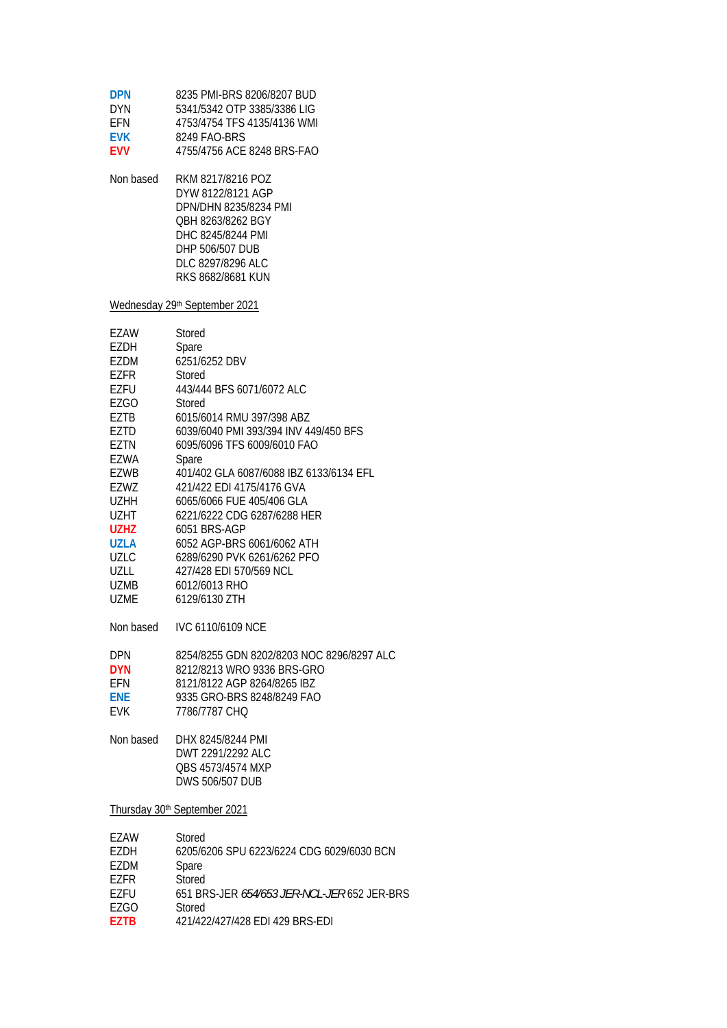| <b>DPN</b><br><b>DYN</b><br>EFN<br><b>EVK</b><br><b>EVV</b>                                                                                                                              | 8235 PMI-BRS 8206/8207 BUD<br>5341/5342 OTP 3385/3386 LIG<br>4753/4754 TFS 4135/4136 WMI<br>8249 FAO-BRS<br>4755/4756 ACE 8248 BRS-FAO                                                                                                                                                                                                                                                                                                                                        |
|------------------------------------------------------------------------------------------------------------------------------------------------------------------------------------------|-------------------------------------------------------------------------------------------------------------------------------------------------------------------------------------------------------------------------------------------------------------------------------------------------------------------------------------------------------------------------------------------------------------------------------------------------------------------------------|
| Non based                                                                                                                                                                                | RKM 8217/8216 POZ<br>DYW 8122/8121 AGP<br>DPN/DHN 8235/8234 PMI<br>OBH 8263/8262 BGY<br>DHC 8245/8244 PMI<br>DHP 506/507 DUB<br>DLC 8297/8296 ALC<br>RKS 8682/8681 KUN                                                                                                                                                                                                                                                                                                        |
|                                                                                                                                                                                          | Wednesday 29th September 2021                                                                                                                                                                                                                                                                                                                                                                                                                                                 |
| EZAW<br>EZDH<br>EZDM<br>EZFR<br>EZFU<br>EZGO<br>EZTB<br>EZTD<br><b>EZTN</b><br>EZWA<br>EZWB<br>EZWZ<br>UZHH<br>UZHT<br><b>UZHZ</b><br>UZLA<br><b>UZLC</b><br>UZLL<br>UZMB<br><b>UZME</b> | Stored<br>Spare<br>6251/6252 DBV<br>Stored<br>443/444 BFS 6071/6072 ALC<br>Stored<br>6015/6014 RMU 397/398 ABZ<br>6039/6040 PMI 393/394 INV 449/450 BFS<br>6095/6096 TFS 6009/6010 FAO<br>Spare<br>401/402 GLA 6087/6088 IBZ 6133/6134 EFL<br>421/422 EDI 4175/4176 GVA<br>6065/6066 FUE 405/406 GLA<br>6221/6222 CDG 6287/6288 HER<br>6051 BRS-AGP<br>6052 AGP-BRS 6061/6062 ATH<br>6289/6290 PVK 6261/6262 PFO<br>427/428 EDI 570/569 NCL<br>6012/6013 RHO<br>6129/6130 ZTH |
| Non based                                                                                                                                                                                | <b>IVC 6110/6109 NCE</b>                                                                                                                                                                                                                                                                                                                                                                                                                                                      |
| DPN<br><b>DYN</b><br>EFN<br>ENE<br><b>EVK</b>                                                                                                                                            | 8254/8255 GDN 8202/8203 NOC 8296/8297 ALC<br>8212/8213 WRO 9336 BRS-GRO<br>8121/8122 AGP 8264/8265 IBZ<br>9335 GRO-BRS 8248/8249 FAO<br>7786/7787 CHO                                                                                                                                                                                                                                                                                                                         |
| Non based                                                                                                                                                                                | DHX 8245/8244 PMI<br>DWT 2291/2292 ALC<br>QBS 4573/4574 MXP<br>DWS 506/507 DUB                                                                                                                                                                                                                                                                                                                                                                                                |
|                                                                                                                                                                                          | Thursday 30th September 2021                                                                                                                                                                                                                                                                                                                                                                                                                                                  |
| EZAW<br>EZDH<br>EZDM<br>EZFR<br>EZFU<br><b>EZGO</b><br><b>EZTB</b>                                                                                                                       | Stored<br>6205/6206 SPU 6223/6224 CDG 6029/6030 BCN<br>Spare<br>Stored<br>651 BRS-JER 654/653 JER-NCL-JER 652 JER-BRS<br>Stored<br>421/422/427/428 EDI 429 BRS-EDI                                                                                                                                                                                                                                                                                                            |